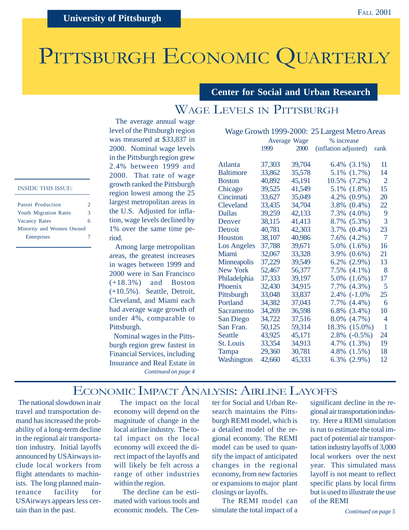# PITTSBURGH ECONOMIC QUARTERLY

**Center for Social and Urban Research**

# WAGE LEVELS IN PITTSBURGH

 The average annual wage level of the Pittsburgh region was measured at \$33,837 in 2000. Nominal wage levels in the Pittsburgh region grew 2.4% between 1999 and 2000. That rate of wage growth ranked the Pittsburgh region lowest among the 25 largest metropolitan areas in the U.S. Adjusted for inflation, wage levels declined by 1% over the same time period.

 Among large metropolitan areas, the greatest increases in wages between 1999 and 2000 were in San Francisco (+18.3%) and Boston (+10.5%). Seattle, Detroit, Cleveland, and Miami each had average wage growth of under 4%, comparable to Pittsburgh.

 Nominal wages in the Pittsburgh region grew fastest in Financial Services, including Insurance and Real Estate in *Continued on page 4*

|                    |        |                     | Wage Growth 1999-2000: 25 Largest Metro Areas |                   |                |
|--------------------|--------|---------------------|-----------------------------------------------|-------------------|----------------|
|                    |        | <b>Average Wage</b> | % increase                                    |                   |                |
|                    | 1999   | 2000                | (inflation adjusted)                          |                   | rank           |
|                    |        |                     |                                               |                   |                |
| Atlanta            | 37,303 | 39,704              |                                               | $6.4\%$ $(3.1\%)$ | 11             |
| <b>Baltimore</b>   | 33,862 | 35,578              | 5.1%                                          | $(1.7\%)$         | 14             |
| <b>Boston</b>      | 40,892 | 45,191              | 10.5%                                         | $(7.2\%)$         | $\overline{2}$ |
| Chicago            | 39,525 | 41,549              | 5.1%                                          | $(1.8\%)$         | 15             |
| Cincinnati         | 33,627 | 35,049              | 4.2%                                          | $(0.9\%)$         | 20             |
| Cleveland          | 33,435 | 34,704              | 3.8%                                          | $(0.4\%)$         | 22             |
| <b>Dallas</b>      | 39,259 | 42,133              | 7.3%                                          | $(4.0\%)$         | 9              |
| Denver             | 38,115 | 41,413              |                                               | 8.7% (5.3%)       | 3              |
| Detroit            | 40,781 | 42,303              | 3.7%                                          | $(0.4\%)$         | 23             |
| Houston            | 38,107 | 40,986              |                                               | $7.6\%$ $(4.2\%)$ | $\overline{7}$ |
| <b>Los Angeles</b> | 37,788 | 39,671              | 5.0%                                          | $(1.6\%)$         | 16             |
| Miami              | 32,067 | 33,328              | 3.9%                                          | $(0.6\%)$         | 21             |
| Minneapolis        | 37,229 | 39,549              | 6.2%                                          | $(2.9\%)$         | 13             |
| <b>New York</b>    | 52,467 | 56,377              | 7.5%                                          | $(4.1\%)$         | 8              |
| Philadelphia       | 37,333 | 39,197              | 5.0%                                          | $(1.6\%)$         | 17             |
| Phoenix            | 32,430 | 34,915              | 7.7%                                          | $(4.3\%)$         | 5              |
| Pittsburgh         | 33,048 | 33,837              |                                               | 2.4% (-1.0%)      | 25             |
| Portland           | 34,382 | 37,043              | 7.7%                                          | $(4.4\%)$         | 6              |
| Sacramento         | 34,269 | 36,598              | $6.8\%$                                       | $(3.4\%)$         | 10             |
| San Diego          | 34,722 | 37,516              | 8.0%                                          | $(4.7\%)$         | 4              |
| San Fran.          | 50,125 | 59,314              | 18.3%                                         | $(15.0\%)$        | 1              |
| Seattle            | 43,925 | 45,171              | 2.8%                                          | $(-0.5\%)$        | 24             |
| <b>St. Louis</b>   | 33,354 | 34,913              | 4.7%                                          | (1.3%)            | 19             |
| Tampa              | 29,360 | 30,781              |                                               | 4.8% $(1.5\%)$    | 18             |
| Washington         | 42,660 | 45,333              |                                               | $6.3\%$ $(2.9\%)$ | 12             |

## ECONOMIC IMPACT ANALYSIS: AIRLINE LAYOFFS

 The national slowdown in air travel and transportation demand has increased the probability of a long-term decline in the regional air transportation industry. Initial layoffs announced by USAirways include local workers from flight attendants to machinists. The long planned maintenance facility for USAirways appears less certain than in the past.

INSIDE THIS ISSUE:

Patent Production 2 Youth Migration Rates 3 Vacancy Rates 6 Minority and Women Owned Enterprises 7

> The impact on the local economy will depend on the magnitude of change in the local airline industry. The total impact on the local economy will exceed the direct impact of the layoffs and will likely be felt across a range of other industries within the region.

 The decline can be estimated with various tools and economic models. The Center for Social and Urban Research maintains the Pittsburgh REMI model, which is a detailed model of the regional economy. The REMI model can be used to quantify the impact of anticipated changes in the regional economy, from new factories or expansions to major plant closings or layoffs.

 The REMI model can simulate the total impact of a

significant decline in the regional air transportation industry. Here a REMI simulation is run to estimate the total impact of potential air transportation industry layoffs of 3,000 local workers over the next year. This simulated mass layoff is not meant to reflect specific plans by local firms but is used to illustrate the use of the REMI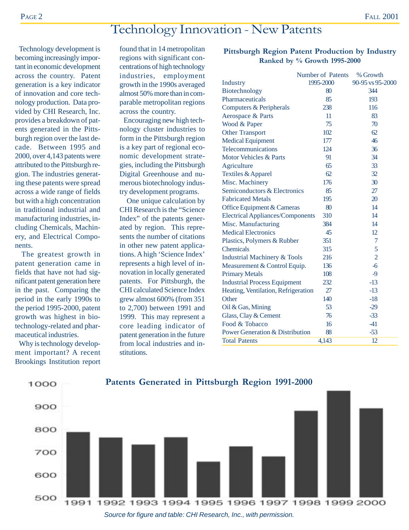# Technology Innovation - New Patents

 Technology development is becoming increasingly important in economic development across the country. Patent generation is a key indicator of innovation and core technology production. Data provided by CHI Research, Inc. provides a breakdown of patents generated in the Pittsburgh region over the last decade. Between 1995 and 2000, over 4,143 patents were attributed to the Pittsburgh region. The industries generating these patents were spread across a wide range of fields but with a high concentration in traditional industrial and manufacturing industries, including Chemicals, Machinery, and Electrical Components.

 The greatest growth in patent generation came in fields that have not had significant patent generation here in the past. Comparing the period in the early 1990s to the period 1995-2000, patent growth was highest in biotechnology-related and pharmaceutical industries.

 Why is technology development important? A recent Brookings Institution report

found that in 14 metropolitan regions with significant concentrations of high technology industries, employment growth in the 1990s averaged almost 50% more than in comparable metropolitan regions across the country.

 Encouraging new high technology cluster industries to form in the Pittsburgh region is a key part of regional economic development strategies, including the Pittsburgh Digital Greenhouse and numerous biotechnology industry development programs.

 One unique calculation by CHI Research is the "Science Index" of the patents generated by region. This represents the number of citations in other new patent applications. A high 'Science Index' represents a high level of innovation in locally generated patents. For Pittsburgh, the CHI calculated Science Index grew almost 600% (from 351 to 2,700) between 1991 and 1999. This may represent a core leading indicator of patent generation in the future from local industries and institutions.

#### **Pittsburgh Region Patent Production by Industry Ranked by % Growth 1995-2000**

|                                            | <b>Number of Patents</b> | % Growth         |
|--------------------------------------------|--------------------------|------------------|
| Industry                                   | 1995-2000                | 90-95 vs 95-2000 |
| Biotechnology                              | 80                       | 344              |
| Pharmaceuticals                            | 85                       | 193              |
| Computers & Peripherals                    | 238                      | 116              |
| Aerospace & Parts                          | 11                       | 83               |
| Wood & Paper                               | 75                       | 70               |
| <b>Other Transport</b>                     | 102                      | 62               |
| <b>Medical Equipment</b>                   | 177                      | 46               |
| <b>Telecommunications</b>                  | 124                      | 36               |
| <b>Motor Vehicles &amp; Parts</b>          | 91                       | 34               |
| Agriculture                                | 65                       | 33               |
| Textiles & Apparel                         | 62                       | 32               |
| Misc. Machinery                            | 176                      | 30               |
| Semiconductors & Electronics               | 85                       | 27               |
| <b>Fabricated Metals</b>                   | 195                      | 20               |
| Office Equipment & Cameras                 | 80                       | 14               |
| <b>Electrical Appliances/Components</b>    | 310                      | 14               |
| Misc. Manufacturing                        | 384                      | 14               |
| <b>Medical Electronics</b>                 | 45                       | 12               |
| Plastics, Polymers & Rubber                | 351                      | 7                |
| Chemicals                                  | 315                      | 5                |
| <b>Industrial Machinery &amp; Tools</b>    | 216                      | $\overline{2}$   |
| Measurement & Control Equip.               | 136                      | $-6$             |
| <b>Primary Metals</b>                      | 108                      | $-9$             |
| <b>Industrial Process Equipment</b>        | 232                      | $-13$            |
| Heating, Ventilation, Refrigeration        | 27                       | $-13$            |
| Other                                      | 140                      | $-18$            |
| Oil & Gas, Mining                          | 53                       | $-29$            |
| Glass, Clay & Cement                       | 76                       | $-33$            |
| Food & Tobacco                             | 16                       | $-41$            |
| <b>Power Generation &amp; Distribution</b> | 88                       | $-53$            |
| <b>Total Patents</b>                       | 4,143                    | 12               |

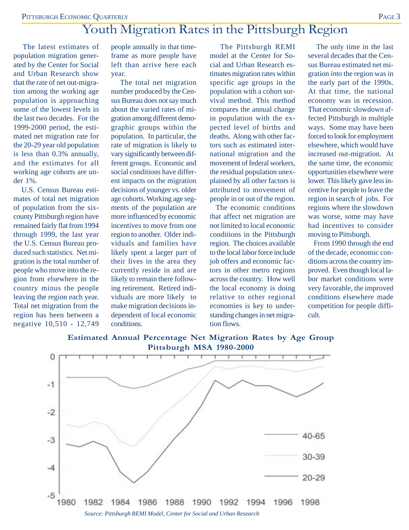# Youth Migration Rates in the Pittsburgh Region

 The latest estimates of population migration generated by the Center for Social and Urban Research show that the rate of net out-migration among the working age population is approaching some of the lowest levels in the last two decades. For the 1999-2000 period, the estimated net migration rate for the 20-29 year old population is less than 0.3% annually, and the estimates for all working age cohorts are under 1%.

 U.S. Census Bureau estimates of total net migration of population from the sixcounty Pittsburgh region have remained fairly flat from 1994 through 1999, the last year the U.S. Census Bureau produced such statistics. Net migration is the total number of people who move into the region from elsewhere in the country minus the people leaving the region each year. Total net migration from the region has been between a negative 10,510 - 12,749

people annually in that timeframe as more people have left than arrive here each year.

 The total net migration number produced by the Census Bureau does not say much about the varied rates of migration among different demographic groups within the population. In particular, the rate of migration is likely to vary significantly between different groups. Economic and social conditions have different impacts on the migration decisions of younger vs. older age cohorts. Working age segments of the population are more influenced by economic incentives to move from one region to another. Older individuals and families have likely spent a larger part of their lives in the area they currently reside in and are likely to remain there following retirement. Retired individuals are more likely to make migration decisions independent of local economic conditions.

 The Pittsburgh REMI model at the Center for Social and Urban Research estimates migration rates within specific age groups in the population with a cohort survival method. This method compares the annual change in population with the expected level of births and deaths. Along with other factors such as estimated international migration and the movement of federal workers, the residual population unexplained by all other factors is attributed to movement of people in or out of the region.

 The economic conditions that affect net migration are not limited to local economic conditions in the Pittsburgh region. The choices available to the local labor force include job offers and economic factors in other metro regions across the country. How well the local economy is doing relative to other regional economies is key to understanding changes in net migration flows.

 The only time in the last several decades that the Census Bureau estimated net migration *into* the region was in the early part of the 1990s. At that time, the national economy was in recession. That economic slowdown affected Pittsburgh in multiple ways. Some may have been forced to look for employment elsewhere, which would have increased out-migration. At the same time, the economic opportunities elsewhere were lower. This likely gave less incentive for people to leave the region in search of jobs. For regions where the slowdown was worse, some may have had incentives to consider moving to Pittsburgh.

 From 1990 through the end of the decade, economic conditions across the country improved. Even though local labor market conditions were very favorable, the improved conditions elsewhere made competition for people difficult.



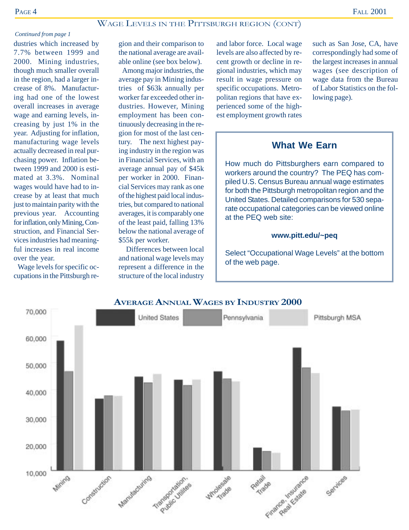#### WAGE LEVELS IN THE PITTSBURGH REGION (CONT)

#### *Continued from page 1*

dustries which increased by 7.7% between 1999 and 2000. Mining industries, though much smaller overall in the region, had a larger increase of 8%. Manufacturing had one of the lowest overall increases in average wage and earning levels, increasing by just 1% in the year. Adjusting for inflation, manufacturing wage levels actually decreased in real purchasing power. Inflation between 1999 and 2000 is estimated at 3.3%. Nominal wages would have had to increase by at least that much just to maintain parity with the previous year. Accounting for inflation, only Mining, Construction, and Financial Services industries had meaningful increases in real income over the year.

 Wage levels for specific occupations in the Pittsburgh region and their comparison to the national average are available online (see box below).

 Among major industries, the average pay in Mining industries of \$63k annually per worker far exceeded other industries. However, Mining employment has been continuously decreasing in the region for most of the last century. The next highest paying industry in the region was in Financial Services, with an average annual pay of \$45k per worker in 2000. Financial Services may rank as one of the highest paid local industries, but compared to national averages, it is comparably one of the least paid, falling 13% below the national average of \$55k per worker.

 Differences between local and national wage levels may represent a difference in the structure of the local industry

and labor force. Local wage levels are also affected by recent growth or decline in regional industries, which may result in wage pressure on specific occupations. Metropolitan regions that have experienced some of the highest employment growth rates

such as San Jose, CA, have correspondingly had some of the largest increases in annual wages (see description of wage data from the Bureau of Labor Statistics on the following page).

#### **What We Earn**

How much do Pittsburghers earn compared to workers around the country? The PEQ has compiled U.S. Census Bureau annual wage estimates for both the Pittsburgh metropolitan region and the United States. Detailed comparisons for 530 separate occupational categories can be viewed online at the PEQ web site:

#### **www.pitt.edu/~peq**

Select "Occupational Wage Levels" at the bottom of the web page.



#### **AVERAGE ANNUAL WAGES BY INDUSTRY 2000**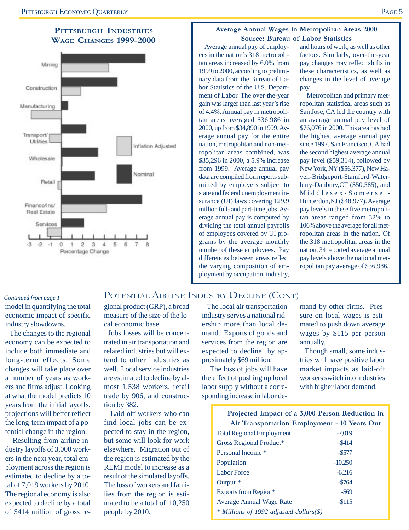#### **PITTSBURGH INDUSTRIES WAGE CHANGES 1999-2000**



#### **Average Annual Wages in Metropolitan Areas 2000 Source: Bureau of Labor Statistics**

 Average annual pay of employees in the nation's 318 metropolitan areas increased by 6.0% from 1999 to 2000, according to preliminary data from the Bureau of Labor Statistics of the U.S. Department of Labor. The over-the-year gain was larger than last year's rise of 4.4%. Annual pay in metropolitan areas averaged \$36,986 in 2000, up from \$34,890 in 1999. Average annual pay for the entire nation, metropolitan and non-metropolitan areas combined, was \$35,296 in 2000, a 5.9% increase from 1999. Average annual pay data are compiled from reports submitted by employers subject to state and federal unemployment insurance (UI) laws covering 129.9 million full- and part-time jobs. Average annual pay is computed by dividing the total annual payrolls of employees covered by UI programs by the average monthly number of these employees. Pay differences between areas reflect the varying composition of employment by occupation, industry,

and hours of work, as well as other factors. Similarly, over-the-year pay changes may reflect shifts in these characteristics, as well as changes in the level of average pay.

 Metropolitan and primary metropolitan statistical areas such as San Jose, CA led the country with an average annual pay level of \$76,076 in 2000. This area has had the highest average annual pay since 1997. San Francisco, CA had the second highest average annual pay level (\$59,314), followed by New York, NY (\$56,377), New Haven-Bridgeport-Stamford-Waterbury-Danbury,CT (\$50,585), and Middlesex-Somerset-Hunterdon,NJ (\$48,977). Average pay levels in these five metropolitan areas ranged from 32% to 106% above the average for all metropolitan areas in the nation. Of the 318 metropolitan areas in the nation, 34 reported average annual pay levels above the national metropolitan pay average of \$36,986.

### POTENTIAL AIRLINE INDUSTRY DECLINE (CONT)

model in quantifying the total economic impact of specific industry slowdowns. *Continued from page 1*

 The changes to the regional economy can be expected to include both immediate and long-term effects. Some changes will take place over a number of years as workers and firms adjust. Looking at what the model predicts 10 years from the initial layoffs, projections will better reflect the long-term impact of a potential change in the region.

 Resulting from airline industry layoffs of 3,000 workers in the next year, total employment across the region is estimated to decline by a total of 7,019 workers by 2010. The regional economy is also expected to decline by a total of \$414 million of gross regional product (GRP), a broad measure of the size of the local economic base.

 Jobs losses will be concentrated in air transportation and related industries but will extend to other industries as well. Local service industries are estimated to decline by almost 1,538 workers, retail trade by 906, and construction by 382.

 Laid-off workers who can find local jobs can be expected to stay in the region, but some will look for work elsewhere. Migration out of the region is estimated by the REMI model to increase as a result of the simulated layoffs. The loss of workers and families from the region is estimated to be a total of 10,250 people by 2010.

 The local air transportation industry serves a national ridership more than local demand. Exports of goods and services from the region are expected to decline by approximately \$69 million.

 The loss of jobs will have the effect of pushing up local labor supply without a corresponding increase in labor demand by other firms. Pressure on local wages is estimated to push down average wages by \$115 per person annually.

 Though small, some industries will have positive labor market impacts as laid-off workers switch into industries with higher labor demand.

| Projected Impact of a 3,000 Person Reduction in |
|-------------------------------------------------|
| Air Transportation Employment - 10 Years Out    |

| <b>Total Regional Employment</b>        | $-7,019$  |
|-----------------------------------------|-----------|
| Gross Regional Product*                 | $-$ \$414 |
| Personal Income *                       | $-$ \$577 |
| Population                              | $-10,250$ |
| <b>Labor Force</b>                      | $-6.216$  |
| Output *                                | $-5764$   |
| Exports from Region*                    | $-$ \$69  |
| <b>Average Annual Wage Rate</b>         | $-$115$   |
| * Millions of 1992 adjusted dollars(\$) |           |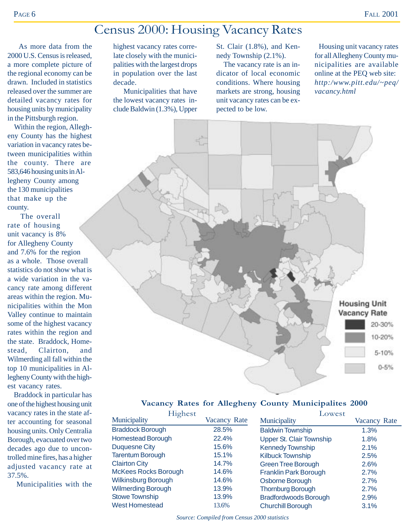# Census 2000: Housing Vacancy Rates

 As more data from the 2000 U.S. Census is released, a more complete picture of the regional economy can be drawn. Included in statistics released over the summer are detailed vacancy rates for housing units by municipality in the Pittsburgh region.

 Within the region, Allegheny County has the highest variation in vacancy rates between municipalities within the county. There are 583,646 housing units in Allegheny County among the 130 municipalities that make up the county.

 The overall rate of housing unit vacancy is 8% for Allegheny County and 7.6% for the region as a whole. Those overall statistics do not show what is a wide variation in the vacancy rate among different areas within the region. Municipalities within the Mon Valley continue to maintain some of the highest vacancy rates within the region and the state. Braddock, Homestead, Clairton, and Wilmerding all fall within the top 10 municipalities in Allegheny County with the highest vacancy rates.

 Braddock in particular has one of the highest housing unit vacancy rates in the state after accounting for seasonal housing units. Only Centralia Borough, evacuated over two decades ago due to uncontrolled mine fires, has a higher adjusted vacancy rate at 37.5%.

Municipalities with the

highest vacancy rates correlate closely with the municipalities with the largest drops in population over the last decade.

 Municipalities that have the lowest vacancy rates include Baldwin (1.3%), Upper St. Clair (1.8%), and Kennedy Township (2.1%).

 The vacancy rate is an indicator of local economic conditions. Where housing markets are strong, housing unit vacancy rates can be expected to be low.

 Housing unit vacancy rates for all Allegheny County municipalities are available online at the PEQ web site: *http:/www.pitt.edu/~peq/ vacancy.html*



#### **Vacancy Rates for Allegheny County Municipalites 2000**

| Highest                     |              | Lowest                          |              |  |
|-----------------------------|--------------|---------------------------------|--------------|--|
| Municipality                | Vacancy Rate | Municipality                    | Vacancy Rate |  |
| <b>Braddock Borough</b>     | 28.5%        | <b>Baldwin Township</b>         | 1.3%         |  |
| <b>Homestead Borough</b>    | 22.4%        | <b>Upper St. Clair Township</b> | 1.8%         |  |
| <b>Duquesne City</b>        | 15.6%        | <b>Kennedy Township</b>         | 2.1%         |  |
| <b>Tarentum Borough</b>     | 15.1%        | <b>Kilbuck Township</b>         | 2.5%         |  |
| <b>Clairton City</b>        | 14.7%        | <b>Green Tree Borough</b>       | 2.6%         |  |
| <b>McKees Rocks Borough</b> | 14.6%        | <b>Franklin Park Borough</b>    | 2.7%         |  |
| Wilkinsburg Borough         | 14.6%        | Osborne Borough                 | 2.7%         |  |
| <b>Wilmerding Borough</b>   | 13.9%        | <b>Thornburg Borough</b>        | 2.7%         |  |
| <b>Stowe Township</b>       | 13.9%        | <b>Bradfordwoods Borough</b>    | 2.9%         |  |
| <b>West Homestead</b>       | 13.6%        | <b>Churchill Borough</b>        | 3.1%         |  |

*Source: Compiled from Census 2000 statistics*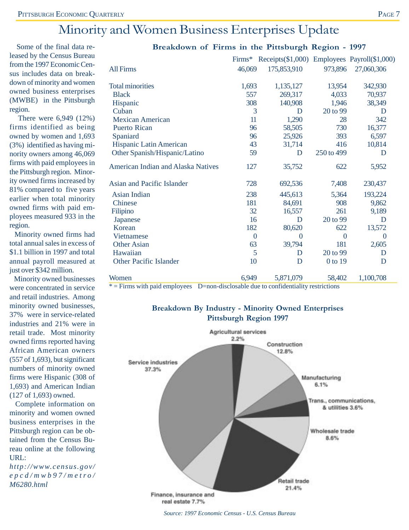# Minority and Women Business Enterprises Update

 Some of the final data released by the Census Bureau from the 1997 Economic Census includes data on breakdown of minority and women owned business enterprises (MWBE) in the Pittsburgh region.

 There were 6,949 (12%) firms identified as being owned by women and 1,693 (3%) identified as having minority owners among 46,069 firms with paid employees in the Pittsburgh region. Minority owned firms increased by 81% compared to five years earlier when total minority owned firms with paid employees measured 933 in the region.

 Minority owned firms had total annual sales in excess of \$1.1 billion in 1997 and total annual payroll measured at just over \$342 million.

 Minority owned businesses were concentrated in service and retail industries. Among minority owned businesses, 37% were in service-related industries and 21% were in retail trade. Most minority owned firms reported having African American owners (557 of 1,693), but significant numbers of minority owned firms were Hispanic (308 of 1,693) and American Indian (127 of 1,693) owned.

 Complete information on minority and women owned business enterprises in the Pittsburgh region can be obtained from the Census Bureau online at the following URL:

*http://www.census.gov/ epcd/mwb97/metro/ M6280.html*

|                                    | Firms*           | Receipts(\$1,000) Employees Payroll(\$1,000) |                  |                |
|------------------------------------|------------------|----------------------------------------------|------------------|----------------|
| <b>All Firms</b>                   | 46,069           | 175,853,910                                  | 973,896          | 27,060,306     |
| <b>Total minorities</b>            | 1,693            | 1,135,127                                    | 13,954           | 342,930        |
| <b>Black</b>                       | 557              | 269,317                                      | 4,033            | 70,937         |
| Hispanic                           | 308              | 140,908                                      | 1,946            | 38,349         |
| Cuban                              | 3                | D                                            | 20 to 99         | D              |
| <b>Mexican American</b>            | 11               | 1,290                                        | 28               | 342            |
| <b>Puerto Rican</b>                | 96               | 58,505                                       | 730              | 16,377         |
| Spaniard                           | 96               | 25,926                                       | 393              | 6,597          |
| Hispanic Latin American            | 43               | 31,714                                       | 416              | 10,814         |
| Other Spanish/Hispanic/Latino      | 59               | D                                            | 250 to 499       | D              |
| American Indian and Alaska Natives | 127              | 35,752                                       | 622              | 5,952          |
| <b>Asian and Pacific Islander</b>  | 728              | 692,536                                      | 7,408            | 230,437        |
| Asian Indian                       | 238              | 445,613                                      | 5,364            | 193,224        |
| Chinese                            | 181              | 84,691                                       | 908              | 9,862          |
| Filipino                           | 32               | 16,557                                       | 261              | 9,189          |
| Japanese                           | 16               | D                                            | 20 to 99         | D              |
| Korean                             | 182              | 80,620                                       | 622              | 13,572         |
| <b>Vietnamese</b>                  | $\boldsymbol{0}$ | $\overline{0}$                               | $\boldsymbol{0}$ | $\overline{0}$ |
| <b>Other Asian</b>                 | 63               | 39,794                                       | 181              | 2,605          |
| Hawaiian                           | 5                | D                                            | 20 to 99         | D              |
| <b>Other Pacific Islander</b>      | 10               | D                                            | 0 to 19          | D              |
| Women                              | 6,949            | 5,871,079                                    | 58,402           | 1,100,708      |

#### **Breakdown of Firms in the Pittsburgh Region - 1997**

\* = Firms with paid employees D=non-disclosable due to confidentiality restrictions

#### **Breakdown By Industry - Minority Owned Enterprises Pittsburgh Region 1997**



*Source: 1997 Economic Census - U.S. Census Bureau*